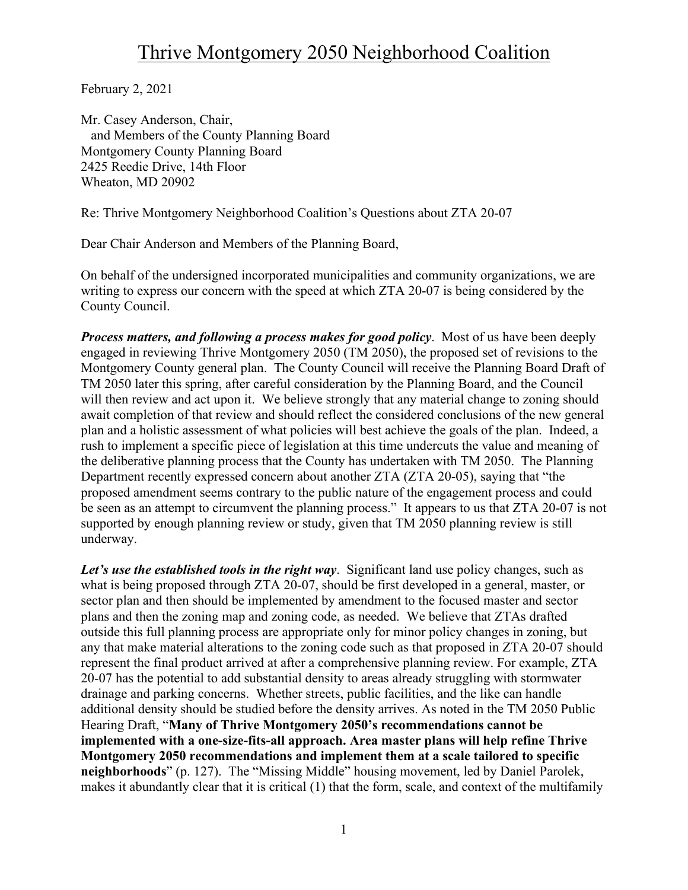February 2, 2021

Mr. Casey Anderson, Chair, and Members of the County Planning Board Montgomery County Planning Board 2425 Reedie Drive, 14th Floor Wheaton, MD 20902

Re: Thrive Montgomery Neighborhood Coalition's Questions about ZTA 20-07

Dear Chair Anderson and Members of the Planning Board,

On behalf of the undersigned incorporated municipalities and community organizations, we are writing to express our concern with the speed at which ZTA 20-07 is being considered by the County Council.

*Process matters, and following a process makes for good policy*. Most of us have been deeply engaged in reviewing Thrive Montgomery 2050 (TM 2050), the proposed set of revisions to the Montgomery County general plan. The County Council will receive the Planning Board Draft of TM 2050 later this spring, after careful consideration by the Planning Board, and the Council will then review and act upon it. We believe strongly that any material change to zoning should await completion of that review and should reflect the considered conclusions of the new general plan and a holistic assessment of what policies will best achieve the goals of the plan. Indeed, a rush to implement a specific piece of legislation at this time undercuts the value and meaning of the deliberative planning process that the County has undertaken with TM 2050. The Planning Department recently expressed concern about another ZTA (ZTA 20-05), saying that "the proposed amendment seems contrary to the public nature of the engagement process and could be seen as an attempt to circumvent the planning process." It appears to us that ZTA 20-07 is not supported by enough planning review or study, given that TM 2050 planning review is still underway.

Let's use the established tools in the right way. Significant land use policy changes, such as what is being proposed through ZTA 20-07, should be first developed in a general, master, or sector plan and then should be implemented by amendment to the focused master and sector plans and then the zoning map and zoning code, as needed. We believe that ZTAs drafted outside this full planning process are appropriate only for minor policy changes in zoning, but any that make material alterations to the zoning code such as that proposed in ZTA 20-07 should represent the final product arrived at after a comprehensive planning review. For example, ZTA 20-07 has the potential to add substantial density to areas already struggling with stormwater drainage and parking concerns. Whether streets, public facilities, and the like can handle additional density should be studied before the density arrives. As noted in the TM 2050 Public Hearing Draft, "**Many of Thrive Montgomery 2050's recommendations cannot be implemented with a one-size-fits-all approach. Area master plans will help refine Thrive Montgomery 2050 recommendations and implement them at a scale tailored to specific neighborhoods**" (p. 127). The "Missing Middle" housing movement, led by Daniel Parolek, makes it abundantly clear that it is critical (1) that the form, scale, and context of the multifamily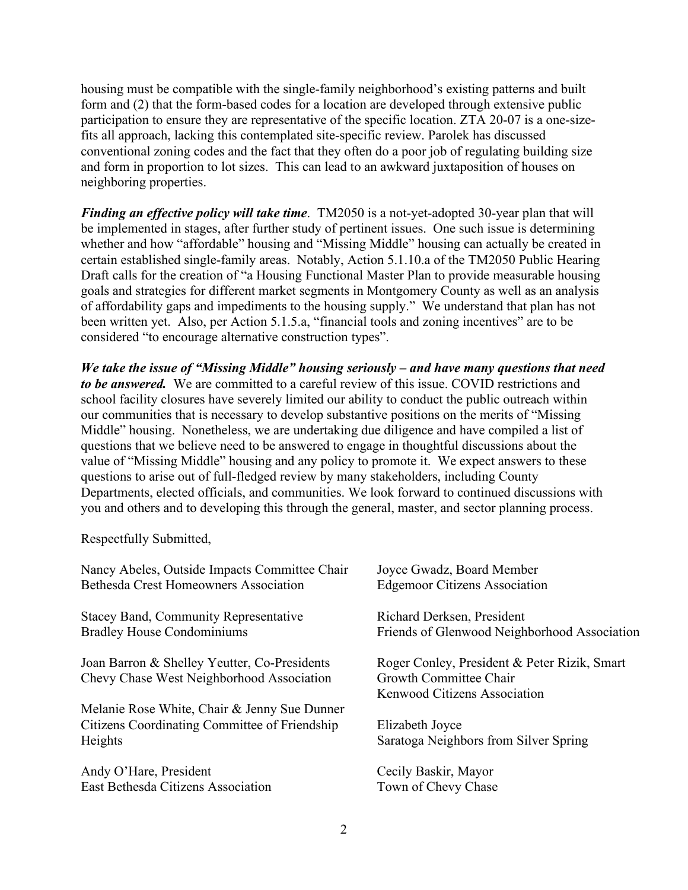housing must be compatible with the single-family neighborhood's existing patterns and built form and (2) that the form-based codes for a location are developed through extensive public participation to ensure they are representative of the specific location. ZTA 20-07 is a one-sizefits all approach, lacking this contemplated site-specific review. Parolek has discussed conventional zoning codes and the fact that they often do a poor job of regulating building size and form in proportion to lot sizes. This can lead to an awkward juxtaposition of houses on neighboring properties.

*Finding an effective policy will take time*. TM2050 is a not-yet-adopted 30-year plan that will be implemented in stages, after further study of pertinent issues. One such issue is determining whether and how "affordable" housing and "Missing Middle" housing can actually be created in certain established single-family areas. Notably, Action 5.1.10.a of the TM2050 Public Hearing Draft calls for the creation of "a Housing Functional Master Plan to provide measurable housing goals and strategies for different market segments in Montgomery County as well as an analysis of affordability gaps and impediments to the housing supply." We understand that plan has not been written yet. Also, per Action 5.1.5.a, "financial tools and zoning incentives" are to be considered "to encourage alternative construction types".

*We take the issue of "Missing Middle" housing seriously – and have many questions that need to be answered.* We are committed to a careful review of this issue. COVID restrictions and school facility closures have severely limited our ability to conduct the public outreach within our communities that is necessary to develop substantive positions on the merits of "Missing Middle" housing. Nonetheless, we are undertaking due diligence and have compiled a list of questions that we believe need to be answered to engage in thoughtful discussions about the value of "Missing Middle" housing and any policy to promote it. We expect answers to these questions to arise out of full-fledged review by many stakeholders, including County Departments, elected officials, and communities. We look forward to continued discussions with you and others and to developing this through the general, master, and sector planning process.

Respectfully Submitted,

| Nancy Abeles, Outside Impacts Committee Chair                                                            | Joyce Gwadz, Board Member                                                                              |
|----------------------------------------------------------------------------------------------------------|--------------------------------------------------------------------------------------------------------|
| Bethesda Crest Homeowners Association                                                                    | <b>Edgemoor Citizens Association</b>                                                                   |
| <b>Stacey Band, Community Representative</b>                                                             | Richard Derksen, President                                                                             |
| <b>Bradley House Condominiums</b>                                                                        | Friends of Glenwood Neighborhood Association                                                           |
| Joan Barron & Shelley Yeutter, Co-Presidents<br>Chevy Chase West Neighborhood Association                | Roger Conley, President & Peter Rizik, Smart<br>Growth Committee Chair<br>Kenwood Citizens Association |
| Melanie Rose White, Chair & Jenny Sue Dunner<br>Citizens Coordinating Committee of Friendship<br>Heights | Elizabeth Joyce<br>Saratoga Neighbors from Silver Spring                                               |
| Andy O'Hare, President                                                                                   | Cecily Baskir, Mayor                                                                                   |
| East Bethesda Citizens Association                                                                       | Town of Chevy Chase                                                                                    |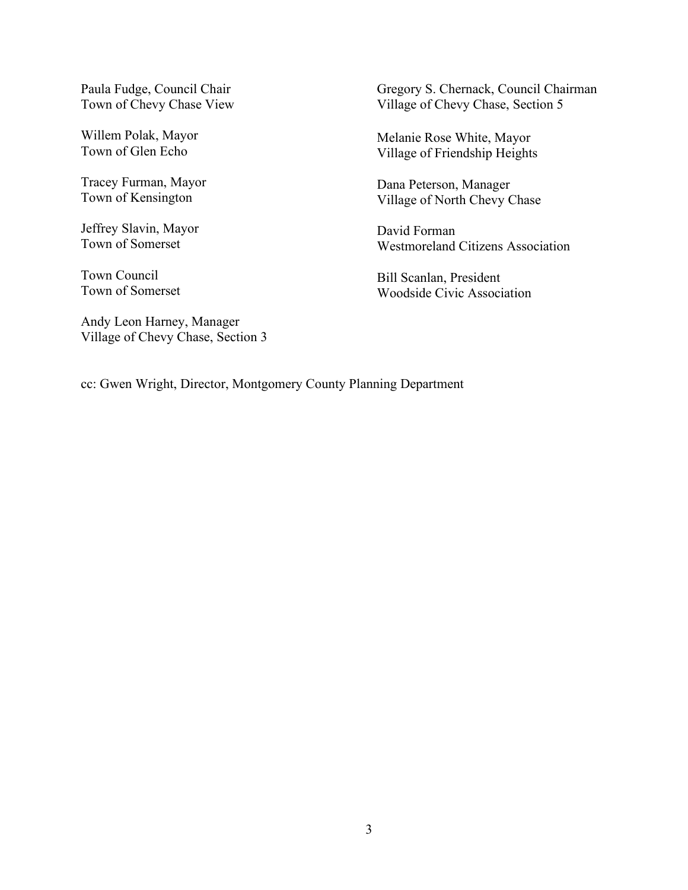Paula Fudge, Council Chair Town of Chevy Chase View

Willem Polak, Mayor Town of Glen Echo

Tracey Furman, Mayor Town of Kensington

Jeffrey Slavin, Mayor Town of Somerset

Town Council Town of Somerset

Andy Leon Harney, Manager Village of Chevy Chase, Section 3 Gregory S. Chernack, Council Chairman Village of Chevy Chase, Section 5

Melanie Rose White, Mayor Village of Friendship Heights

Dana Peterson, Manager Village of North Chevy Chase

David Forman Westmoreland Citizens Association

Bill Scanlan, President Woodside Civic Association

cc: Gwen Wright, Director, Montgomery County Planning Department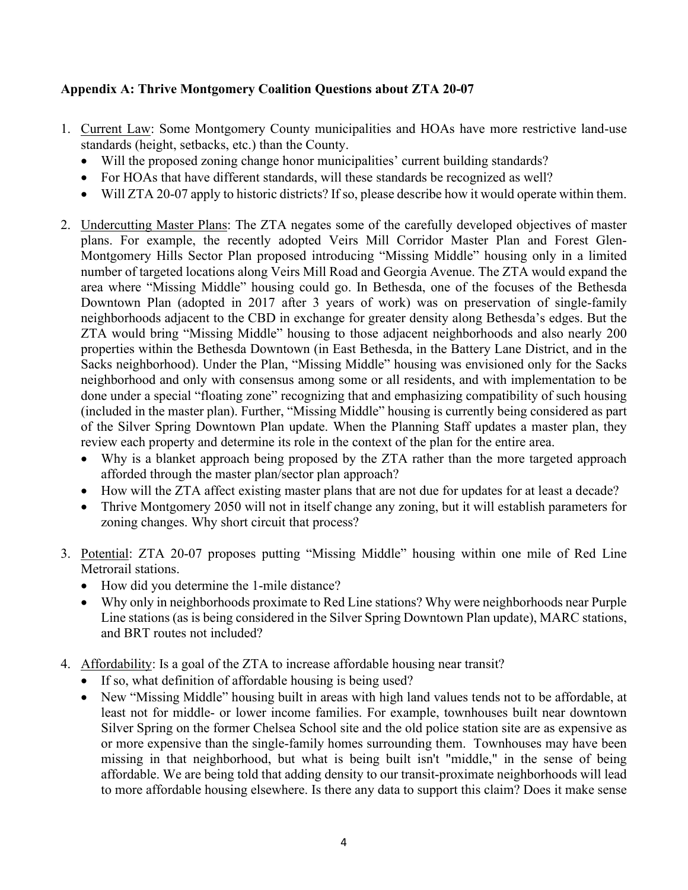## **Appendix A: Thrive Montgomery Coalition Questions about ZTA 20-07**

- 1. Current Law: Some Montgomery County municipalities and HOAs have more restrictive land-use standards (height, setbacks, etc.) than the County.
	- Will the proposed zoning change honor municipalities' current building standards?
	- For HOAs that have different standards, will these standards be recognized as well?
	- Will ZTA 20-07 apply to historic districts? If so, please describe how it would operate within them.
- 2. Undercutting Master Plans: The ZTA negates some of the carefully developed objectives of master plans. For example, the recently adopted Veirs Mill Corridor Master Plan and Forest Glen-Montgomery Hills Sector Plan proposed introducing "Missing Middle" housing only in a limited number of targeted locations along Veirs Mill Road and Georgia Avenue. The ZTA would expand the area where "Missing Middle" housing could go. In Bethesda, one of the focuses of the Bethesda Downtown Plan (adopted in 2017 after 3 years of work) was on preservation of single-family neighborhoods adjacent to the CBD in exchange for greater density along Bethesda's edges. But the ZTA would bring "Missing Middle" housing to those adjacent neighborhoods and also nearly 200 properties within the Bethesda Downtown (in East Bethesda, in the Battery Lane District, and in the Sacks neighborhood). Under the Plan, "Missing Middle" housing was envisioned only for the Sacks neighborhood and only with consensus among some or all residents, and with implementation to be done under a special "floating zone" recognizing that and emphasizing compatibility of such housing (included in the master plan). Further, "Missing Middle" housing is currently being considered as part of the Silver Spring Downtown Plan update. When the Planning Staff updates a master plan, they review each property and determine its role in the context of the plan for the entire area.
	- Why is a blanket approach being proposed by the ZTA rather than the more targeted approach afforded through the master plan/sector plan approach?
	- How will the ZTA affect existing master plans that are not due for updates for at least a decade?
	- Thrive Montgomery 2050 will not in itself change any zoning, but it will establish parameters for zoning changes. Why short circuit that process?
- 3. Potential: ZTA 20-07 proposes putting "Missing Middle" housing within one mile of Red Line Metrorail stations.
	- How did you determine the 1-mile distance?
	- Why only in neighborhoods proximate to Red Line stations? Why were neighborhoods near Purple Line stations (as is being considered in the Silver Spring Downtown Plan update), MARC stations, and BRT routes not included?
- 4. Affordability: Is a goal of the ZTA to increase affordable housing near transit?
	- If so, what definition of affordable housing is being used?
	- New "Missing Middle" housing built in areas with high land values tends not to be affordable, at least not for middle- or lower income families. For example, townhouses built near downtown Silver Spring on the former Chelsea School site and the old police station site are as expensive as or more expensive than the single-family homes surrounding them. Townhouses may have been missing in that neighborhood, but what is being built isn't "middle," in the sense of being affordable. We are being told that adding density to our transit-proximate neighborhoods will lead to more affordable housing elsewhere. Is there any data to support this claim? Does it make sense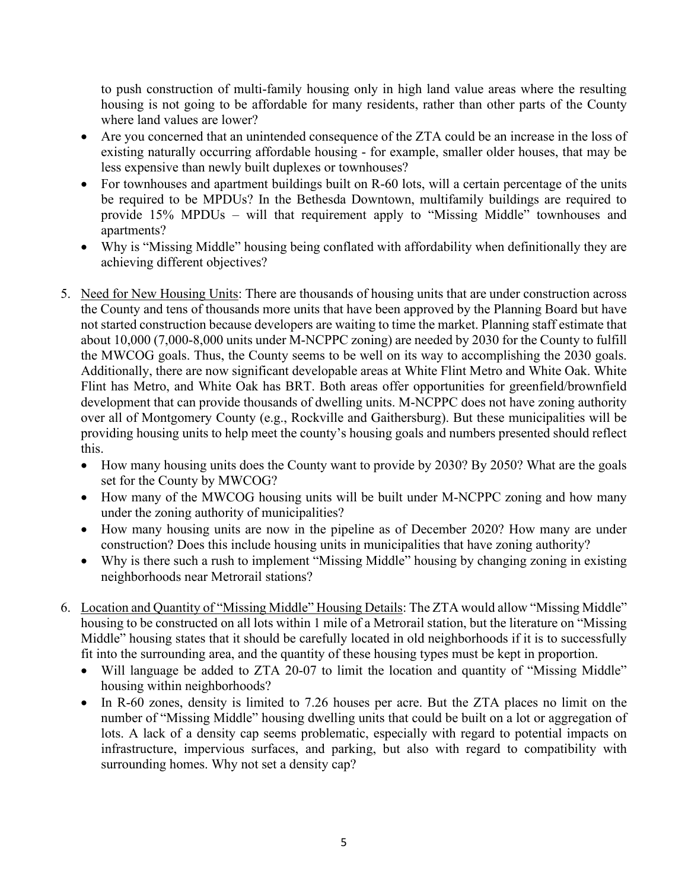to push construction of multi-family housing only in high land value areas where the resulting housing is not going to be affordable for many residents, rather than other parts of the County where land values are lower?

- Are you concerned that an unintended consequence of the ZTA could be an increase in the loss of existing naturally occurring affordable housing - for example, smaller older houses, that may be less expensive than newly built duplexes or townhouses?
- For townhouses and apartment buildings built on R-60 lots, will a certain percentage of the units be required to be MPDUs? In the Bethesda Downtown, multifamily buildings are required to provide 15% MPDUs – will that requirement apply to "Missing Middle" townhouses and apartments?
- Why is "Missing Middle" housing being conflated with affordability when definitionally they are achieving different objectives?
- 5. Need for New Housing Units: There are thousands of housing units that are under construction across the County and tens of thousands more units that have been approved by the Planning Board but have not started construction because developers are waiting to time the market. Planning staff estimate that about 10,000 (7,000-8,000 units under M-NCPPC zoning) are needed by 2030 for the County to fulfill the MWCOG goals. Thus, the County seems to be well on its way to accomplishing the 2030 goals. Additionally, there are now significant developable areas at White Flint Metro and White Oak. White Flint has Metro, and White Oak has BRT. Both areas offer opportunities for greenfield/brownfield development that can provide thousands of dwelling units. M-NCPPC does not have zoning authority over all of Montgomery County (e.g., Rockville and Gaithersburg). But these municipalities will be providing housing units to help meet the county's housing goals and numbers presented should reflect this.
	- How many housing units does the County want to provide by 2030? By 2050? What are the goals set for the County by MWCOG?
	- How many of the MWCOG housing units will be built under M-NCPPC zoning and how many under the zoning authority of municipalities?
	- How many housing units are now in the pipeline as of December 2020? How many are under construction? Does this include housing units in municipalities that have zoning authority?
	- Why is there such a rush to implement "Missing Middle" housing by changing zoning in existing neighborhoods near Metrorail stations?
- 6. Location and Quantity of "Missing Middle" Housing Details: The ZTA would allow "Missing Middle" housing to be constructed on all lots within 1 mile of a Metrorail station, but the literature on "Missing Middle" housing states that it should be carefully located in old neighborhoods if it is to successfully fit into the surrounding area, and the quantity of these housing types must be kept in proportion.
	- Will language be added to ZTA 20-07 to limit the location and quantity of "Missing Middle" housing within neighborhoods?
	- In R-60 zones, density is limited to 7.26 houses per acre. But the ZTA places no limit on the number of "Missing Middle" housing dwelling units that could be built on a lot or aggregation of lots. A lack of a density cap seems problematic, especially with regard to potential impacts on infrastructure, impervious surfaces, and parking, but also with regard to compatibility with surrounding homes. Why not set a density cap?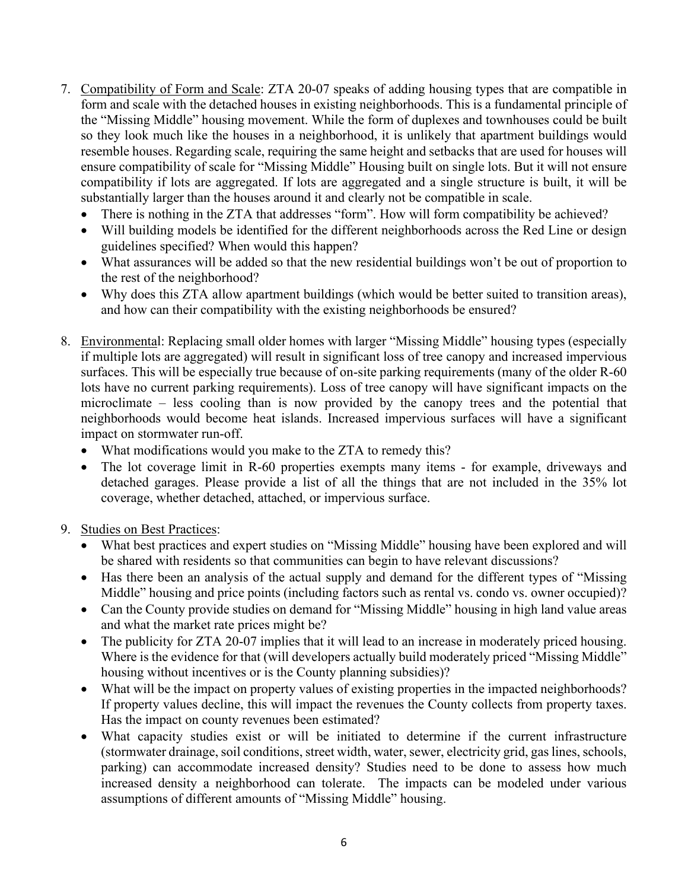- 7. Compatibility of Form and Scale: ZTA 20-07 speaks of adding housing types that are compatible in form and scale with the detached houses in existing neighborhoods. This is a fundamental principle of the "Missing Middle" housing movement. While the form of duplexes and townhouses could be built so they look much like the houses in a neighborhood, it is unlikely that apartment buildings would resemble houses. Regarding scale, requiring the same height and setbacks that are used for houses will ensure compatibility of scale for "Missing Middle" Housing built on single lots. But it will not ensure compatibility if lots are aggregated. If lots are aggregated and a single structure is built, it will be substantially larger than the houses around it and clearly not be compatible in scale.
	- There is nothing in the ZTA that addresses "form". How will form compatibility be achieved?
	- Will building models be identified for the different neighborhoods across the Red Line or design guidelines specified? When would this happen?
	- What assurances will be added so that the new residential buildings won't be out of proportion to the rest of the neighborhood?
	- Why does this ZTA allow apartment buildings (which would be better suited to transition areas), and how can their compatibility with the existing neighborhoods be ensured?
- 8. Environmental: Replacing small older homes with larger "Missing Middle" housing types (especially if multiple lots are aggregated) will result in significant loss of tree canopy and increased impervious surfaces. This will be especially true because of on-site parking requirements (many of the older R-60 lots have no current parking requirements). Loss of tree canopy will have significant impacts on the microclimate – less cooling than is now provided by the canopy trees and the potential that neighborhoods would become heat islands. Increased impervious surfaces will have a significant impact on stormwater run-off.
	- What modifications would you make to the ZTA to remedy this?
	- The lot coverage limit in R-60 properties exempts many items for example, driveways and detached garages. Please provide a list of all the things that are not included in the 35% lot coverage, whether detached, attached, or impervious surface.
- 9. Studies on Best Practices:
	- What best practices and expert studies on "Missing Middle" housing have been explored and will be shared with residents so that communities can begin to have relevant discussions?
	- Has there been an analysis of the actual supply and demand for the different types of "Missing Middle" housing and price points (including factors such as rental vs. condo vs. owner occupied)?
	- Can the County provide studies on demand for "Missing Middle" housing in high land value areas and what the market rate prices might be?
	- The publicity for ZTA 20-07 implies that it will lead to an increase in moderately priced housing. Where is the evidence for that (will developers actually build moderately priced "Missing Middle" housing without incentives or is the County planning subsidies)?
	- What will be the impact on property values of existing properties in the impacted neighborhoods? If property values decline, this will impact the revenues the County collects from property taxes. Has the impact on county revenues been estimated?
	- What capacity studies exist or will be initiated to determine if the current infrastructure (stormwater drainage, soil conditions, street width, water, sewer, electricity grid, gas lines, schools, parking) can accommodate increased density? Studies need to be done to assess how much increased density a neighborhood can tolerate. The impacts can be modeled under various assumptions of different amounts of "Missing Middle" housing.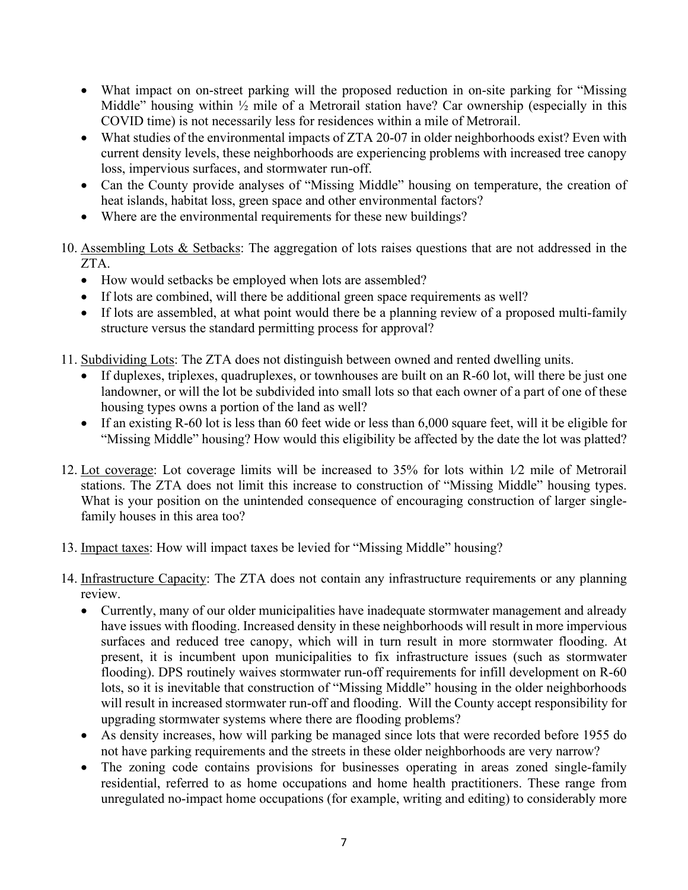- What impact on on-street parking will the proposed reduction in on-site parking for "Missing Middle" housing within  $\frac{1}{2}$  mile of a Metrorail station have? Car ownership (especially in this COVID time) is not necessarily less for residences within a mile of Metrorail.
- What studies of the environmental impacts of ZTA 20-07 in older neighborhoods exist? Even with current density levels, these neighborhoods are experiencing problems with increased tree canopy loss, impervious surfaces, and stormwater run-off.
- Can the County provide analyses of "Missing Middle" housing on temperature, the creation of heat islands, habitat loss, green space and other environmental factors?
- Where are the environmental requirements for these new buildings?
- 10. Assembling Lots & Setbacks: The aggregation of lots raises questions that are not addressed in the ZTA.
	- How would setbacks be employed when lots are assembled?
	- If lots are combined, will there be additional green space requirements as well?
	- If lots are assembled, at what point would there be a planning review of a proposed multi-family structure versus the standard permitting process for approval?
- 11. Subdividing Lots: The ZTA does not distinguish between owned and rented dwelling units.
	- If duplexes, triplexes, quadruplexes, or townhouses are built on an R-60 lot, will there be just one landowner, or will the lot be subdivided into small lots so that each owner of a part of one of these housing types owns a portion of the land as well?
	- If an existing R-60 lot is less than 60 feet wide or less than 6,000 square feet, will it be eligible for "Missing Middle" housing? How would this eligibility be affected by the date the lot was platted?
- 12. Lot coverage: Lot coverage limits will be increased to 35% for lots within 1⁄2 mile of Metrorail stations. The ZTA does not limit this increase to construction of "Missing Middle" housing types. What is your position on the unintended consequence of encouraging construction of larger singlefamily houses in this area too?
- 13. Impact taxes: How will impact taxes be levied for "Missing Middle" housing?
- 14. Infrastructure Capacity: The ZTA does not contain any infrastructure requirements or any planning review.
	- Currently, many of our older municipalities have inadequate stormwater management and already have issues with flooding. Increased density in these neighborhoods will result in more impervious surfaces and reduced tree canopy, which will in turn result in more stormwater flooding. At present, it is incumbent upon municipalities to fix infrastructure issues (such as stormwater flooding). DPS routinely waives stormwater run-off requirements for infill development on R-60 lots, so it is inevitable that construction of "Missing Middle" housing in the older neighborhoods will result in increased stormwater run-off and flooding. Will the County accept responsibility for upgrading stormwater systems where there are flooding problems?
	- As density increases, how will parking be managed since lots that were recorded before 1955 do not have parking requirements and the streets in these older neighborhoods are very narrow?
	- The zoning code contains provisions for businesses operating in areas zoned single-family residential, referred to as home occupations and home health practitioners. These range from unregulated no-impact home occupations (for example, writing and editing) to considerably more